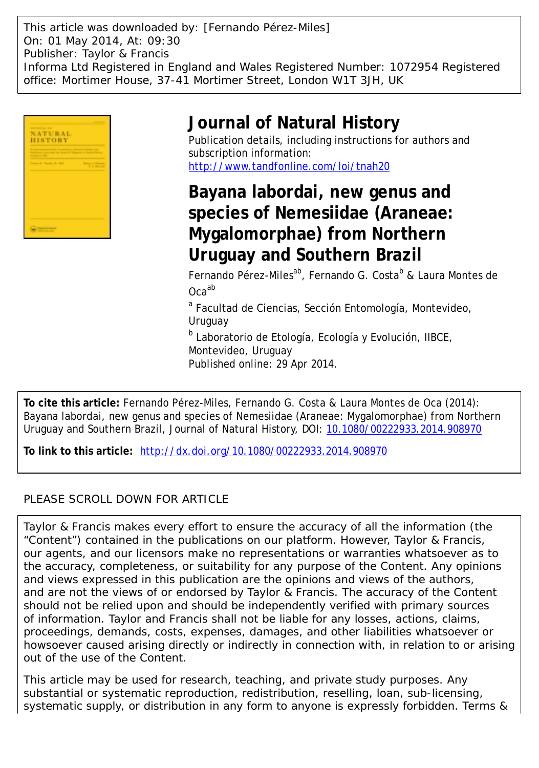This article was downloaded by: [Fernando Pérez-Miles] On: 01 May 2014, At: 09:30 Publisher: Taylor & Francis Informa Ltd Registered in England and Wales Registered Number: 1072954 Registered office: Mortimer House, 37-41 Mortimer Street, London W1T 3JH, UK



# **Journal of Natural History**

Publication details, including instructions for authors and subscription information: <http://www.tandfonline.com/loi/tnah20>

**Bayana labordai, new genus and species of Nemesiidae (Araneae: Mygalomorphae) from Northern Uruguay and Southern Brazil**

Fernando Pérez-Miles<sup>ab</sup>, Fernando G. Costa<sup>b</sup> & Laura Montes de Ocaab

<sup>a</sup> Facultad de Ciencias, Sección Entomología, Montevideo, Uruguay

<sup>b</sup> Laboratorio de Etología, Ecología y Evolución, IIBCE, Montevideo, Uruguay Published online: 29 Apr 2014.

**To cite this article:** Fernando Pérez-Miles, Fernando G. Costa & Laura Montes de Oca (2014): Bayana labordai, new genus and species of Nemesiidae (Araneae: Mygalomorphae) from Northern Uruguay and Southern Brazil, Journal of Natural History, DOI: [10.1080/00222933.2014.908970](http://www.tandfonline.com/action/showCitFormats?doi=10.1080/00222933.2014.908970)

**To link to this article:** <http://dx.doi.org/10.1080/00222933.2014.908970>

# PLEASE SCROLL DOWN FOR ARTICLE

Taylor & Francis makes every effort to ensure the accuracy of all the information (the "Content") contained in the publications on our platform. However, Taylor & Francis, our agents, and our licensors make no representations or warranties whatsoever as to the accuracy, completeness, or suitability for any purpose of the Content. Any opinions and views expressed in this publication are the opinions and views of the authors, and are not the views of or endorsed by Taylor & Francis. The accuracy of the Content should not be relied upon and should be independently verified with primary sources of information. Taylor and Francis shall not be liable for any losses, actions, claims, proceedings, demands, costs, expenses, damages, and other liabilities whatsoever or howsoever caused arising directly or indirectly in connection with, in relation to or arising out of the use of the Content.

This article may be used for research, teaching, and private study purposes. Any substantial or systematic reproduction, redistribution, reselling, loan, sub-licensing, systematic supply, or distribution in any form to anyone is expressly forbidden. Terms &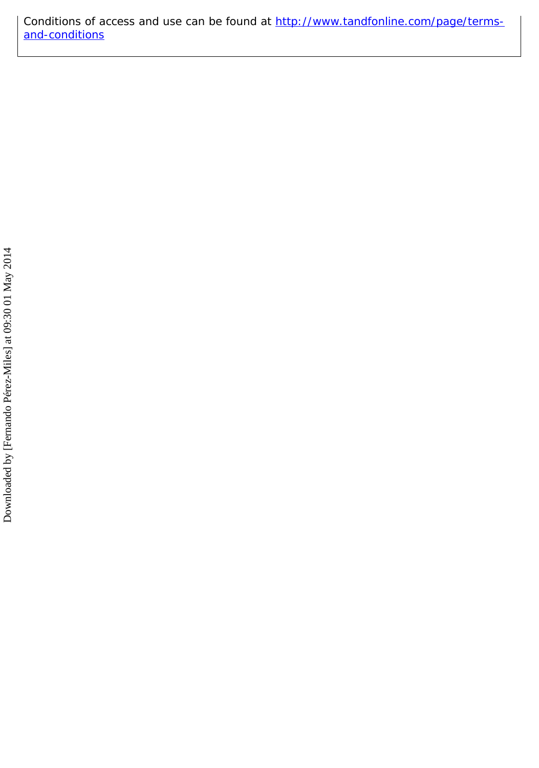Conditions of access and use can be found at [http://www.tandfonline.com/page/terms](http://www.tandfonline.com/page/terms-and-conditions)[and-conditions](http://www.tandfonline.com/page/terms-and-conditions)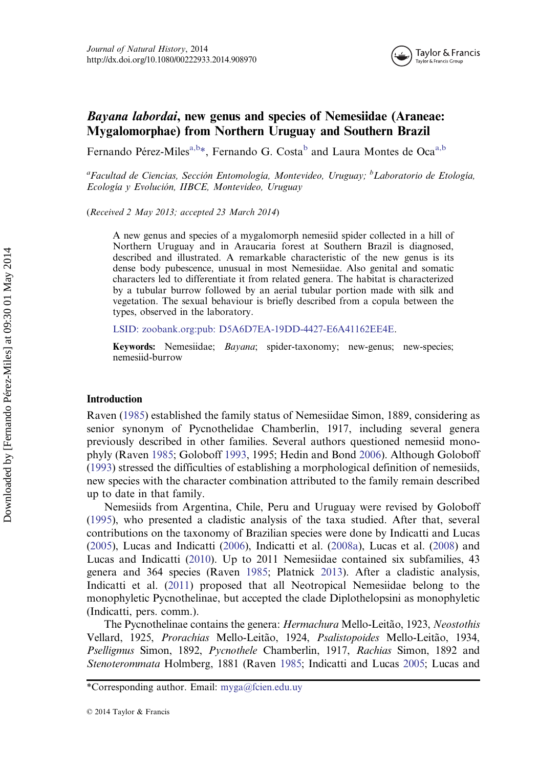

# Bayana labordai, new genus and species of Nemesiidae (Araneae: Mygalomorphae) from Northern Uruguay and Southern Brazil

Fernando Pérez-Miles<sup>a,b\*</sup>, Fernando G. Costa<sup>b</sup> and Laura Montes de Oca<sup>a,b</sup>

<sup>a</sup>Facultad de Ciencias, Sección Entomología, Montevideo, Uruguay; <sup>b</sup>Laboratorio de Etología, Ecología y Evolución, IIBCE, Montevideo, Uruguay

(Received 2 May 2013; accepted 23 March 2014)

A new genus and species of a mygalomorph nemesiid spider collected in a hill of Northern Uruguay and in Araucaria forest at Southern Brazil is diagnosed, described and illustrated. A remarkable characteristic of the new genus is its dense body pubescence, unusual in most Nemesiidae. Also genital and somatic characters led to differentiate it from related genera. The habitat is characterized by a tubular burrow followed by an aerial tubular portion made with silk and vegetation. The sexual behaviour is briefly described from a copula between the types, observed in the laboratory.

[LSID: zoobank.org:pub: D5A6D7EA-19DD-4427-E6A41162EE4E.](http://LSID:�zoobank.org:pub:�D5A6D7EA-19DD-4427-E6A41162EE4E)

Keywords: Nemesiidae; Bayana; spider-taxonomy; new-genus; new-species; nemesiid-burrow

#### Introduction

Raven ([1985\)](#page-11-0) established the family status of Nemesiidae Simon, 1889, considering as senior synonym of Pycnothelidae Chamberlin, 1917, including several genera previously described in other families. Several authors questioned nemesiid monophyly (Raven [1985;](#page-11-0) Goloboff [1993,](#page-11-0) 1995; Hedin and Bond [2006\)](#page-11-0). Although Goloboff ([1993\)](#page-11-0) stressed the difficulties of establishing a morphological definition of nemesiids, new species with the character combination attributed to the family remain described up to date in that family.

Nemesiids from Argentina, Chile, Peru and Uruguay were revised by Goloboff ([1995\)](#page-11-0), who presented a cladistic analysis of the taxa studied. After that, several contributions on the taxonomy of Brazilian species were done by Indicatti and Lucas ([2005\)](#page-11-0), Lucas and Indicatti [\(2006](#page-11-0)), Indicatti et al. [\(2008a](#page-11-0)), Lucas et al. [\(2008](#page-11-0)) and Lucas and Indicatti ([2010\)](#page-11-0). Up to 2011 Nemesiidae contained six subfamilies, 43 genera and 364 species (Raven [1985](#page-11-0); Platnick [2013\)](#page-11-0). After a cladistic analysis, Indicatti et al. ([2011\)](#page-11-0) proposed that all Neotropical Nemesiidae belong to the monophyletic Pycnothelinae, but accepted the clade Diplothelopsini as monophyletic (Indicatti, pers. comm.).

The Pycnothelinae contains the genera: Hermachura Mello-Leitão, 1923, Neostothis Vellard, 1925, Prorachias Mello-Leitão, 1924, Psalistopoides Mello-Leitão, 1934, Pselligmus Simon, 1892, Pycnothele Chamberlin, 1917, Rachias Simon, 1892 and Stenoterommata Holmberg, 1881 (Raven [1985;](#page-11-0) Indicatti and Lucas [2005;](#page-11-0) Lucas and

<sup>\*</sup>Corresponding author. Email: myga@fcien.edu.uy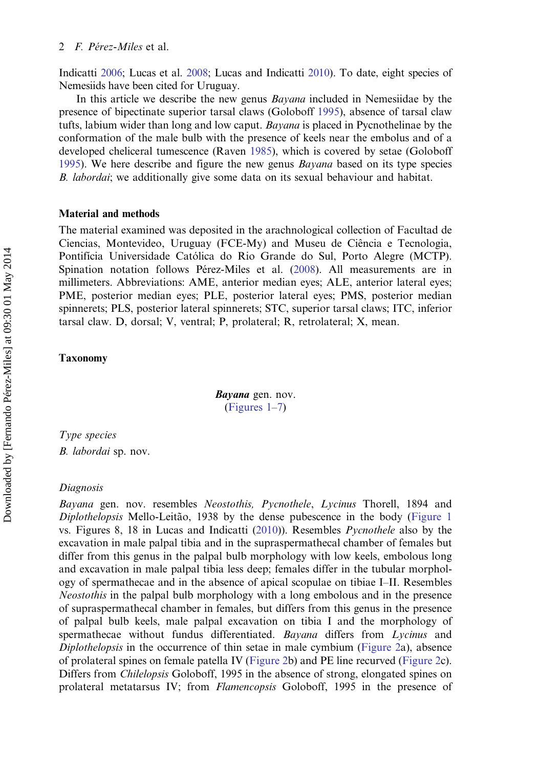Indicatti [2006;](#page-11-0) Lucas et al. [2008](#page-11-0); Lucas and Indicatti [2010\)](#page-11-0). To date, eight species of Nemesiids have been cited for Uruguay.

In this article we describe the new genus *Bayana* included in Nemesiidae by the presence of bipectinate superior tarsal claws (Goloboff [1995\)](#page-11-0), absence of tarsal claw tufts, labium wider than long and low caput. Bayana is placed in Pycnothelinae by the conformation of the male bulb with the presence of keels near the embolus and of a developed cheliceral tumescence (Raven [1985\)](#page-11-0), which is covered by setae (Goloboff [1995\)](#page-11-0). We here describe and figure the new genus *Bayana* based on its type species B. *labordai*; we additionally give some data on its sexual behaviour and habitat.

# Material and methods

The material examined was deposited in the arachnological collection of Facultad de Ciencias, Montevideo, Uruguay (FCE-My) and Museu de Ciência e Tecnologia, Pontifícia Universidade Católica do Rio Grande do Sul, Porto Alegre (MCTP). Spination notation follows Pérez-Miles et al. ([2008\)](#page-11-0). All measurements are in millimeters. Abbreviations: AME, anterior median eyes; ALE, anterior lateral eyes; PME, posterior median eyes; PLE, posterior lateral eyes; PMS, posterior median spinnerets; PLS, posterior lateral spinnerets; STC, superior tarsal claws; ITC, inferior tarsal claw. D, dorsal; V, ventral; P, prolateral; R, retrolateral; X, mean.

## Taxonomy

Bayana gen. nov. ([Figures 1](#page-4-0)–[7\)](#page-10-0)

Type species B. labordai sp. nov.

#### Diagnosis

Bayana gen. nov. resembles Neostothis, Pycnothele, Lycinus Thorell, 1894 and Diplothelopsis Mello-Leitão, 1938 by the dense pubescence in the body [\(Figure 1](#page-4-0) vs. Figures 8, 18 in Lucas and Indicatti [\(2010](#page-11-0))). Resembles Pycnothele also by the excavation in male palpal tibia and in the supraspermathecal chamber of females but differ from this genus in the palpal bulb morphology with low keels, embolous long and excavation in male palpal tibia less deep; females differ in the tubular morphology of spermathecae and in the absence of apical scopulae on tibiae I–II. Resembles Neostothis in the palpal bulb morphology with a long embolous and in the presence of supraspermathecal chamber in females, but differs from this genus in the presence of palpal bulb keels, male palpal excavation on tibia I and the morphology of spermathecae without fundus differentiated. Bayana differs from Lycinus and Diplothelopsis in the occurrence of thin setae in male cymbium ([Figure 2a](#page-4-0)), absence of prolateral spines on female patella IV [\(Figure 2b](#page-4-0)) and PE line recurved [\(Figure 2c](#page-4-0)). Differs from Chilelopsis Goloboff, 1995 in the absence of strong, elongated spines on prolateral metatarsus IV; from Flamencopsis Goloboff, 1995 in the presence of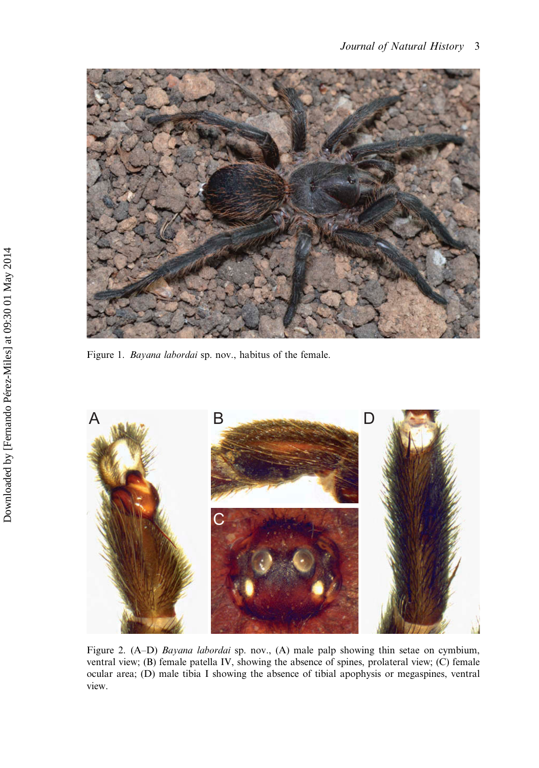<span id="page-4-0"></span>

Figure 1. Bayana labordai sp. nov., habitus of the female.



Figure 2. (A–D) Bayana labordai sp. nov., (A) male palp showing thin setae on cymbium, ventral view; (B) female patella IV, showing the absence of spines, prolateral view; (C) female ocular area; (D) male tibia I showing the absence of tibial apophysis or megaspines, ventral view.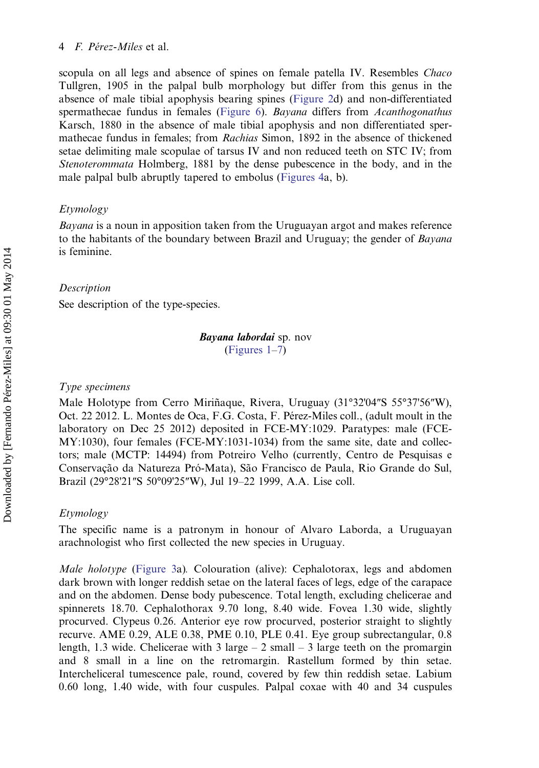#### 4  $F$  Pérez-Miles et al.

scopula on all legs and absence of spines on female patella IV. Resembles *Chaco* Tullgren, 1905 in the palpal bulb morphology but differ from this genus in the absence of male tibial apophysis bearing spines [\(Figure 2](#page-4-0)d) and non-differentiated spermathecae fundus in females [\(Figure 6\)](#page-8-0). Bayana differs from Acanthogonathus Karsch, 1880 in the absence of male tibial apophysis and non differentiated spermathecae fundus in females; from Rachias Simon, 1892 in the absence of thickened setae delimiting male scopulae of tarsus IV and non reduced teeth on STC IV; from Stenoterommata Holmberg, 1881 by the dense pubescence in the body, and in the male palpal bulb abruptly tapered to embolus ([Figures 4a](#page-7-0), b).

# Etymology

Bayana is a noun in apposition taken from the Uruguayan argot and makes reference to the habitants of the boundary between Brazil and Uruguay; the gender of *Bayana* is feminine.

# Description

See description of the type-species.

# Bayana labordai sp. nov ([Figures 1](#page-4-0)–[7\)](#page-11-0)

#### Type specimens

Male Holotype from Cerro Miriñaque, Rivera, Uruguay (31°32'04″S 55°37'56″W), Oct. 22 2012. L. Montes de Oca, F.G. Costa, F. Pérez-Miles coll., (adult moult in the laboratory on Dec 25 2012) deposited in FCE-MY:1029. Paratypes: male (FCE-MY:1030), four females (FCE-MY:1031-1034) from the same site, date and collectors; male (MCTP: 14494) from Potreiro Velho (currently, Centro de Pesquisas e Conservação da Natureza Pró-Mata), São Francisco de Paula, Rio Grande do Sul, Brazil (29°28'21″S 50°09'25″W), Jul 19–22 1999, A.A. Lise coll.

## Etymology

The specific name is a patronym in honour of Alvaro Laborda, a Uruguayan arachnologist who first collected the new species in Uruguay.

Male holotype [\(Figure 3a](#page-6-0)). Colouration (alive): Cephalotorax, legs and abdomen dark brown with longer reddish setae on the lateral faces of legs, edge of the carapace and on the abdomen. Dense body pubescence. Total length, excluding chelicerae and spinnerets 18.70. Cephalothorax 9.70 long, 8.40 wide. Fovea 1.30 wide, slightly procurved. Clypeus 0.26. Anterior eye row procurved, posterior straight to slightly recurve. AME 0.29, ALE 0.38, PME 0.10, PLE 0.41. Eye group subrectangular, 0.8 length, 1.3 wide. Chelicerae with 3 large  $-2$  small  $-3$  large teeth on the promargin and 8 small in a line on the retromargin. Rastellum formed by thin setae. Intercheliceral tumescence pale, round, covered by few thin reddish setae. Labium 0.60 long, 1.40 wide, with four cuspules. Palpal coxae with 40 and 34 cuspules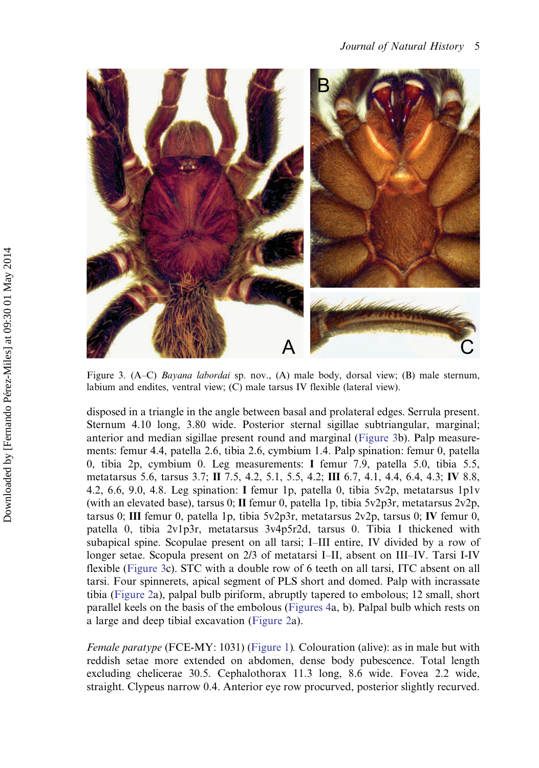<span id="page-6-0"></span>

Figure 3. (A–C) Bayana labordai sp. nov., (A) male body, dorsal view; (B) male sternum, labium and endites, ventral view; (C) male tarsus IV flexible (lateral view).

disposed in a triangle in the angle between basal and prolateral edges. Serrula present. Sternum 4.10 long, 3.80 wide. Posterior sternal sigillae subtriangular, marginal; anterior and median sigillae present round and marginal (Figure 3b). Palp measurements: femur 4.4, patella 2.6, tibia 2.6, cymbium 1.4. Palp spination: femur 0, patella 0, tibia 2p, cymbium 0. Leg measurements: I femur 7.9, patella 5.0, tibia 5.5, metatarsus 5.6, tarsus 3.7; II 7.5, 4.2, 5.1, 5.5, 4.2; III 6.7, 4.1, 4.4, 6.4, 4.3; IV 8.8, 4.2, 6.6, 9.0, 4.8. Leg spination: I femur 1p, patella 0, tibia 5v2p, metatarsus 1p1v (with an elevated base), tarsus 0; II femur 0, patella 1p, tibia 5v2p3r, metatarsus 2v2p, tarsus 0; III femur 0, patella 1p, tibia 5v2p3r, metatarsus 2v2p, tarsus 0; IV femur 0, patella 0, tibia 2v1p3r, metatarsus 3v4p5r2d, tarsus 0. Tibia I thickened with subapical spine. Scopulae present on all tarsi; I–III entire, IV divided by a row of longer setae. Scopula present on 2/3 of metatarsi I–II, absent on III–IV. Tarsi I-IV flexible (Figure 3c). STC with a double row of 6 teeth on all tarsi, ITC absent on all tarsi. Four spinnerets, apical segment of PLS short and domed. Palp with incrassate tibia ([Figure 2](#page-4-0)a), palpal bulb piriform, abruptly tapered to embolous; 12 small, short parallel keels on the basis of the embolous ([Figures 4](#page-7-0)a, b). Palpal bulb which rests on a large and deep tibial excavation ([Figure 2a](#page-4-0)).

Female paratype (FCE-MY: 1031) ([Figure 1](#page-4-0)). Colouration (alive): as in male but with reddish setae more extended on abdomen, dense body pubescence. Total length excluding chelicerae 30.5. Cephalothorax 11.3 long, 8.6 wide. Fovea 2.2 wide, straight. Clypeus narrow 0.4. Anterior eye row procurved, posterior slightly recurved.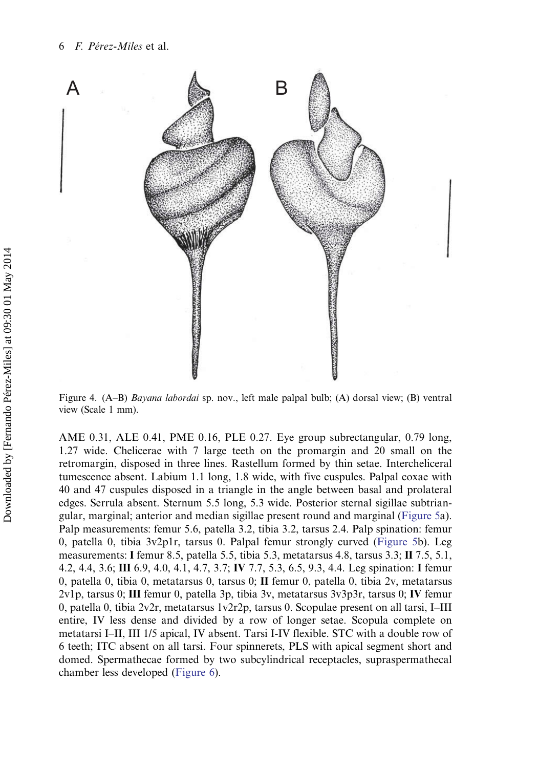<span id="page-7-0"></span>

Figure 4. (A–B) Bayana labordai sp. nov., left male palpal bulb; (A) dorsal view; (B) ventral view (Scale 1 mm).

AME 0.31, ALE 0.41, PME 0.16, PLE 0.27. Eye group subrectangular, 0.79 long, 1.27 wide. Chelicerae with 7 large teeth on the promargin and 20 small on the retromargin, disposed in three lines. Rastellum formed by thin setae. Intercheliceral tumescence absent. Labium 1.1 long, 1.8 wide, with five cuspules. Palpal coxae with 40 and 47 cuspules disposed in a triangle in the angle between basal and prolateral edges. Serrula absent. Sternum 5.5 long, 5.3 wide. Posterior sternal sigillae subtriangular, marginal; anterior and median sigillae present round and marginal [\(Figure 5a](#page-8-0)). Palp measurements: femur 5.6, patella 3.2, tibia 3.2, tarsus 2.4. Palp spination: femur 0, patella 0, tibia 3v2p1r, tarsus 0. Palpal femur strongly curved [\(Figure 5](#page-8-0)b). Leg measurements: I femur 8.5, patella 5.5, tibia 5.3, metatarsus 4.8, tarsus 3.3; II 7.5, 5.1, 4.2, 4.4, 3.6; III 6.9, 4.0, 4.1, 4.7, 3.7; IV 7.7, 5.3, 6.5, 9.3, 4.4. Leg spination: I femur 0, patella 0, tibia 0, metatarsus 0, tarsus 0; II femur 0, patella 0, tibia 2v, metatarsus 2v1p, tarsus 0; III femur 0, patella 3p, tibia 3v, metatarsus 3v3p3r, tarsus 0; IV femur 0, patella 0, tibia 2v2r, metatarsus 1v2r2p, tarsus 0. Scopulae present on all tarsi, I–III entire, IV less dense and divided by a row of longer setae. Scopula complete on metatarsi I–II, III 1/5 apical, IV absent. Tarsi I-IV flexible. STC with a double row of 6 teeth; ITC absent on all tarsi. Four spinnerets, PLS with apical segment short and domed. Spermathecae formed by two subcylindrical receptacles, supraspermathecal chamber less developed [\(Figure 6\)](#page-8-0).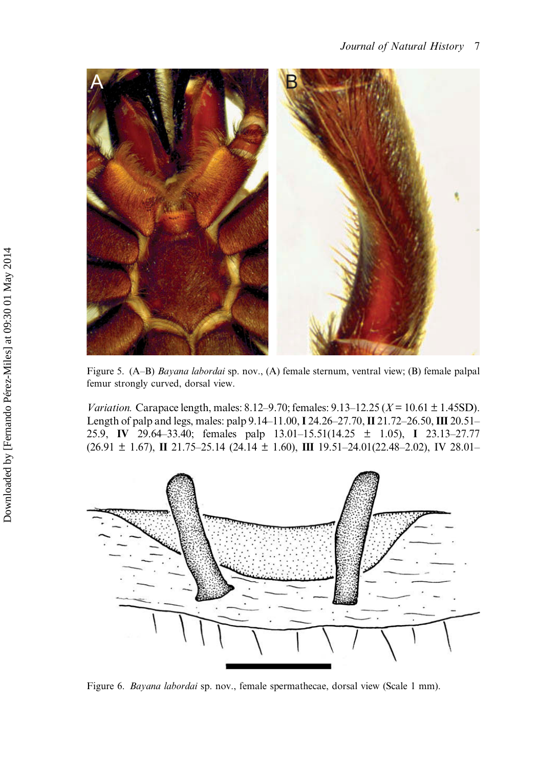<span id="page-8-0"></span>

Figure 5. (A–B) Bayana labordai sp. nov., (A) female sternum, ventral view; (B) female palpal femur strongly curved, dorsal view.

*Variation.* Carapace length, males:  $8.12 - 9.70$ ; females:  $9.13 - 12.25$  ( $X = 10.61 \pm 1.45$ SD). Length of palp and legs, males: palp 9.14–11.00, I 24.26–27.70, II 21.72–26.50, III 20.51– 25.9, IV 29.64–33.40; females palp 13.01–15.51(14.25 ± 1.05), I 23.13–27.77  $(26.91 \pm 1.67)$ , II 21.75–25.14 (24.14  $\pm$  1.60), III 19.51–24.01(22.48–2.02), IV 28.01–



Figure 6. Bayana labordai sp. nov., female spermathecae, dorsal view (Scale 1 mm).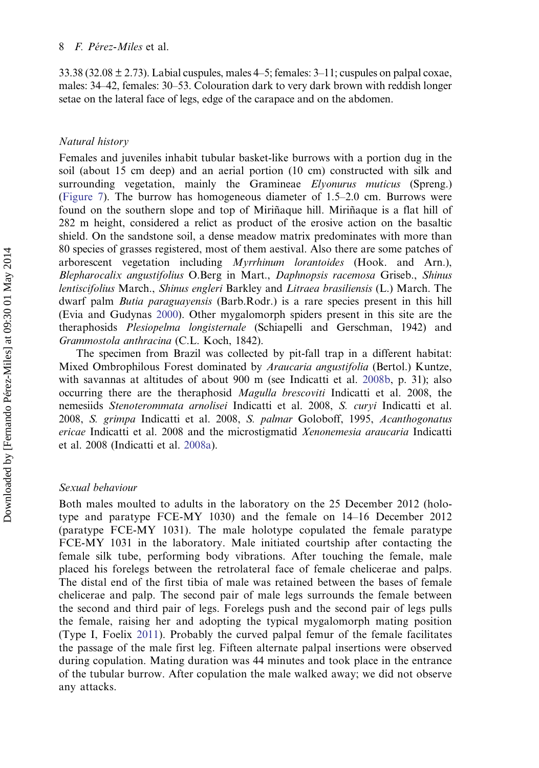33.38 (32.08  $\pm$  2.73). Labial cuspules, males 4–5; females: 3–11; cuspules on palpal coxae, males: 34–42, females: 30–53. Colouration dark to very dark brown with reddish longer setae on the lateral face of legs, edge of the carapace and on the abdomen.

## Natural history

Females and juveniles inhabit tubular basket-like burrows with a portion dug in the soil (about 15 cm deep) and an aerial portion (10 cm) constructed with silk and surrounding vegetation, mainly the Gramineae Elyonurus muticus (Spreng.) [\(Figure 7\)](#page-10-0). The burrow has homogeneous diameter of 1.5–2.0 cm. Burrows were found on the southern slope and top of Miriñaque hill. Miriñaque is a flat hill of 282 m height, considered a relict as product of the erosive action on the basaltic shield. On the sandstone soil, a dense meadow matrix predominates with more than 80 species of grasses registered, most of them aestival. Also there are some patches of arborescent vegetation including Myrrhinum lorantoides (Hook. and Arn.), Blepharocalix angustifolius O.Berg in Mart., Daphnopsis racemosa Griseb., Shinus lentiscifolius March., Shinus engleri Barkley and Litraea brasiliensis (L.) March. The dwarf palm *Butia paraguayensis* (Barb.Rodr.) is a rare species present in this hill (Evia and Gudynas [2000](#page-11-0)). Other mygalomorph spiders present in this site are the theraphosids Plesiopelma longisternale (Schiapelli and Gerschman, 1942) and Grammostola anthracina (C.L. Koch, 1842).

The specimen from Brazil was collected by pit-fall trap in a different habitat: Mixed Ombrophilous Forest dominated by *Araucaria angustifolia* (Bertol.) Kuntze, with savannas at altitudes of about 900 m (see Indicatti et al. [2008b](#page-11-0), p. 31); also occurring there are the theraphosid *Magulla brescoviti* Indicatti et al. 2008, the nemesiids Stenoterommata arnolisei Indicatti et al. 2008, S. curyi Indicatti et al. 2008, S. grimpa Indicatti et al. 2008, S. palmar Goloboff, 1995, Acanthogonatus ericae Indicatti et al. 2008 and the microstigmatid Xenonemesia araucaria Indicatti et al. 2008 (Indicatti et al. [2008a](#page-11-0)).

# Sexual behaviour

Both males moulted to adults in the laboratory on the 25 December 2012 (holotype and paratype FCE-MY 1030) and the female on 14–16 December 2012 (paratype FCE-MY 1031). The male holotype copulated the female paratype FCE-MY 1031 in the laboratory. Male initiated courtship after contacting the female silk tube, performing body vibrations. After touching the female, male placed his forelegs between the retrolateral face of female chelicerae and palps. The distal end of the first tibia of male was retained between the bases of female chelicerae and palp. The second pair of male legs surrounds the female between the second and third pair of legs. Forelegs push and the second pair of legs pulls the female, raising her and adopting the typical mygalomorph mating position (Type I, Foelix [2011\)](#page-11-0). Probably the curved palpal femur of the female facilitates the passage of the male first leg. Fifteen alternate palpal insertions were observed during copulation. Mating duration was 44 minutes and took place in the entrance of the tubular burrow. After copulation the male walked away; we did not observe any attacks.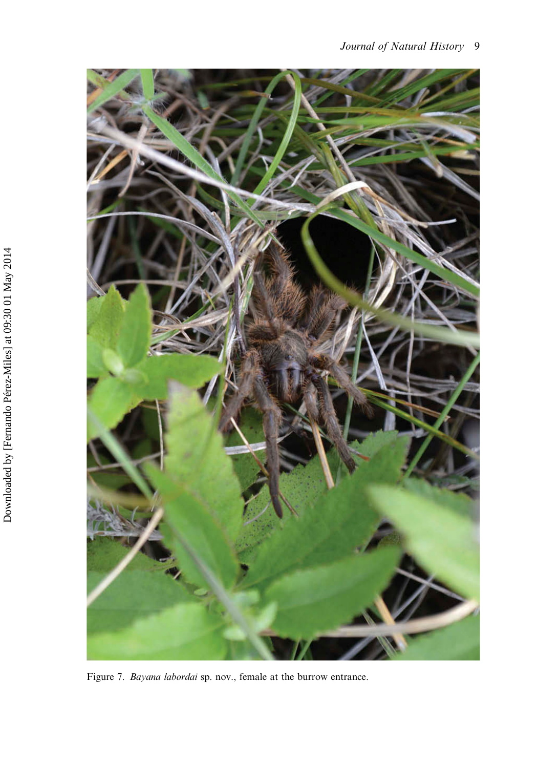<span id="page-10-0"></span>

Figure 7. Bayana labordai sp. nov., female at the burrow entrance.